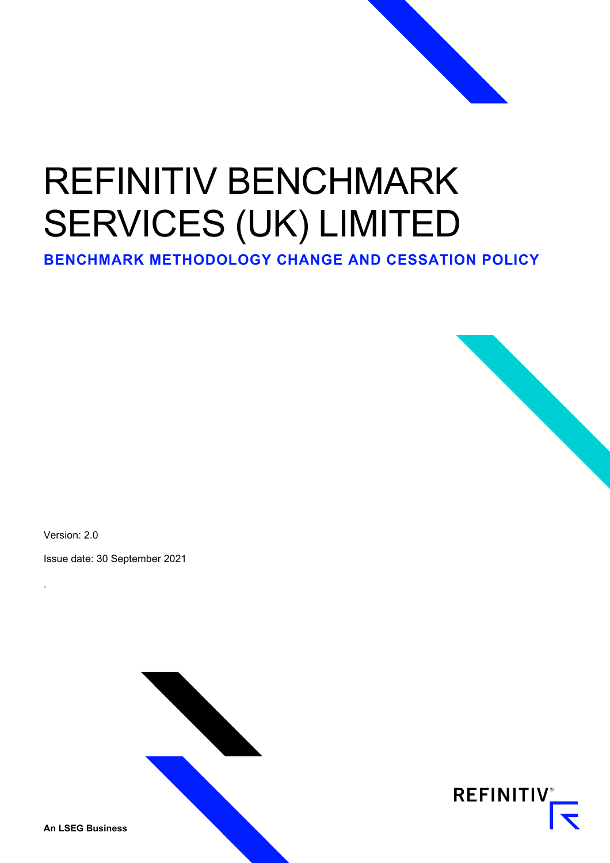# REFINITIV BENCHMARK SERVICES (UK) LIMITED

**BENCHMARK METHODOLOGY CHANGE AND CESSATION POLICY**



Version: 2.0

.

Issue date: 30 September 2021





**An LSEG Business**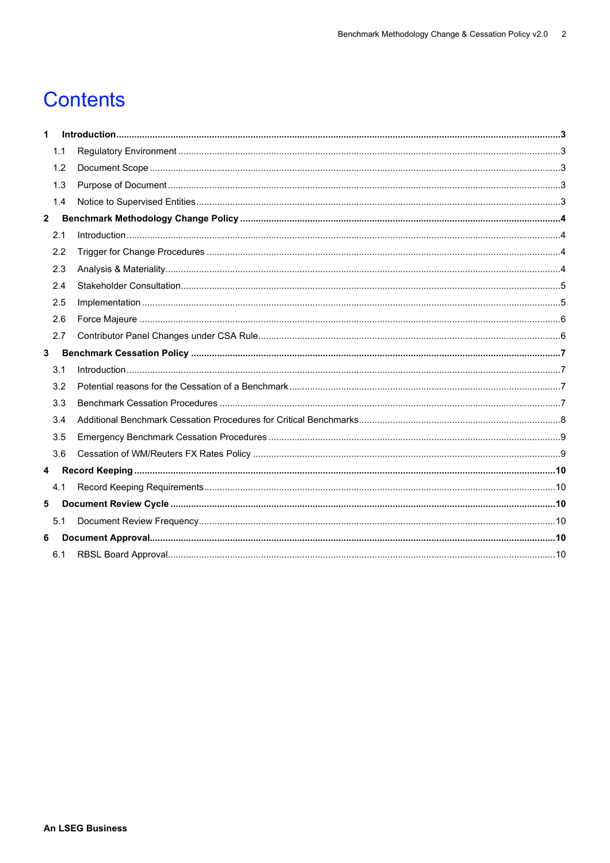### **Contents**

| 1            |     |  |
|--------------|-----|--|
|              | 1.1 |  |
|              | 1.2 |  |
|              | 1.3 |  |
|              | 1.4 |  |
| $\mathbf{2}$ |     |  |
|              | 2.1 |  |
|              | 2.2 |  |
|              | 2.3 |  |
|              | 2.4 |  |
|              | 2.5 |  |
|              | 2.6 |  |
|              | 2.7 |  |
| 3            |     |  |
|              | 3.1 |  |
|              | 3.2 |  |
|              | 3.3 |  |
|              | 3.4 |  |
|              | 3.5 |  |
|              | 3.6 |  |
| 4            |     |  |
|              | 4.1 |  |
| 5            |     |  |
|              | 5.1 |  |
| 6            |     |  |
|              | 6.1 |  |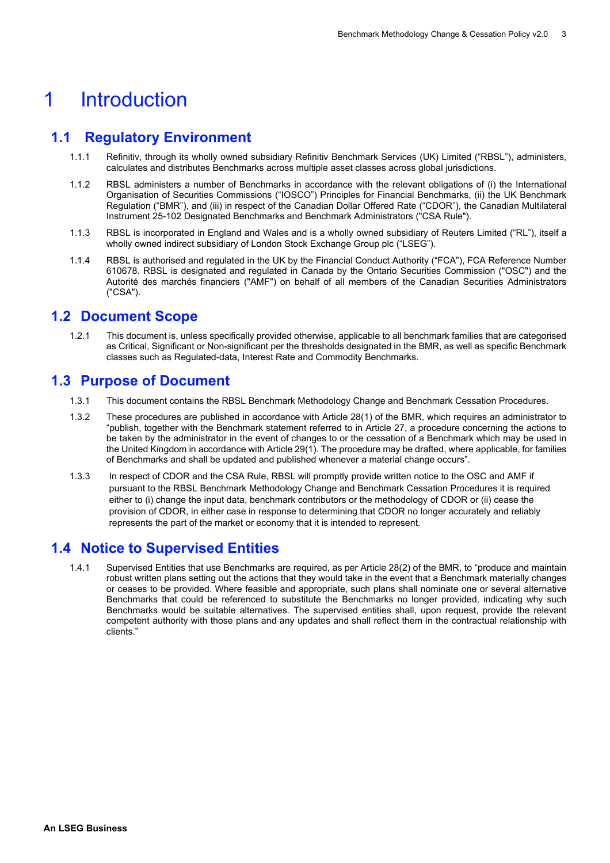### <span id="page-2-0"></span>1 Introduction

### **1.1 Regulatory Environment**

- <span id="page-2-1"></span>1.1.1 Refinitiv, through its wholly owned subsidiary Refinitiv Benchmark Services (UK) Limited ("RBSL"), administers, calculates and distributes Benchmarks across multiple asset classes across global jurisdictions.
- 1.1.2 RBSL administers a number of Benchmarks in accordance with the relevant obligations of (i) the International Organisation of Securities Commissions ("IOSCO") Principles for Financial Benchmarks, (ii) the UK Benchmark Regulation ("BMR"), and (iii) in respect of the Canadian Dollar Offered Rate ("CDOR"), the Canadian Multilateral Instrument 25-102 Designated Benchmarks and Benchmark Administrators ("CSA Rule").
- 1.1.3 RBSL is incorporated in England and Wales and is a wholly owned subsidiary of Reuters Limited ("RL"), itself a wholly owned indirect subsidiary of London Stock Exchange Group plc ("LSEG").
- 1.1.4 RBSL is authorised and regulated in the UK by the Financial Conduct Authority ("FCA"), FCA Reference Number 610678. RBSL is designated and regulated in Canada by the Ontario Securities Commission ("OSC") and the Autorité des marchés financiers ("AMF") on behalf of all members of the Canadian Securities Administrators ("CSA").

#### <span id="page-2-2"></span>**1.2 Document Scope**

1.2.1 This document is, unless specifically provided otherwise, applicable to all benchmark families that are categorised as Critical, Significant or Non-significant per the thresholds designated in the BMR, as well as specific Benchmark classes such as Regulated-data, Interest Rate and Commodity Benchmarks.

### <span id="page-2-3"></span>**1.3 Purpose of Document**

- 1.3.1 This document contains the RBSL Benchmark Methodology Change and Benchmark Cessation Procedures.
- 1.3.2 These procedures are published in accordance with Article 28(1) of the BMR, which requires an administrator to "publish, together with the Benchmark statement referred to in Article 27, a procedure concerning the actions to be taken by the administrator in the event of changes to or the cessation of a Benchmark which may be used in the United Kingdom in accordance with Article 29(1). The procedure may be drafted, where applicable, for families of Benchmarks and shall be updated and published whenever a material change occurs".
- 1.3.3 In respect of CDOR and the CSA Rule, RBSL will promptly provide written notice to the OSC and AMF if pursuant to the RBSL Benchmark Methodology Change and Benchmark Cessation Procedures it is required either to (i) change the input data, benchmark contributors or the methodology of CDOR or (ii) cease the provision of CDOR, in either case in response to determining that CDOR no longer accurately and reliably represents the part of the market or economy that it is intended to represent.

#### <span id="page-2-4"></span>**1.4 Notice to Supervised Entities**

1.4.1 Supervised Entities that use Benchmarks are required, as per Article 28(2) of the BMR, to "produce and maintain robust written plans setting out the actions that they would take in the event that a Benchmark materially changes or ceases to be provided. Where feasible and appropriate, such plans shall nominate one or several alternative Benchmarks that could be referenced to substitute the Benchmarks no longer provided, indicating why such Benchmarks would be suitable alternatives. The supervised entities shall, upon request, provide the relevant competent authority with those plans and any updates and shall reflect them in the contractual relationship with clients."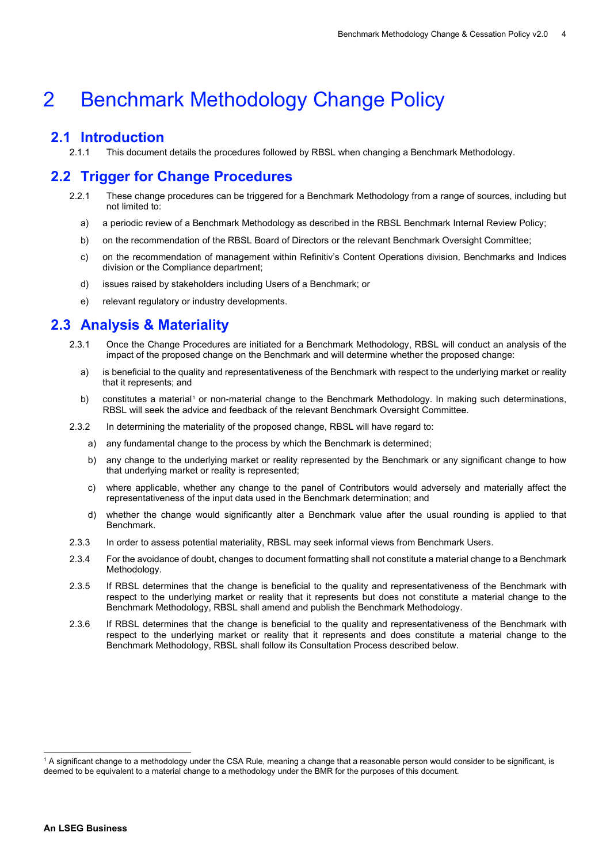### <span id="page-3-0"></span>2 Benchmark Methodology Change Policy

## <span id="page-3-1"></span>**2.1 Introduction**<br>2.1.1 This documen

This document details the procedures followed by RBSL when changing a Benchmark Methodology.

### <span id="page-3-2"></span>**2.2 Trigger for Change Procedures**

- 2.2.1 These change procedures can be triggered for a Benchmark Methodology from a range of sources, including but not limited to:
	- a) a periodic review of a Benchmark Methodology as described in the RBSL Benchmark Internal Review Policy;
	- b) on the recommendation of the RBSL Board of Directors or the relevant Benchmark Oversight Committee;
	- c) on the recommendation of management within Refinitiv's Content Operations division, Benchmarks and Indices division or the Compliance department;
	- d) issues raised by stakeholders including Users of a Benchmark; or
	- e) relevant regulatory or industry developments.

### <span id="page-3-3"></span>**2.3 Analysis & Materiality**

- 2.3.1 Once the Change Procedures are initiated for a Benchmark Methodology, RBSL will conduct an analysis of the impact of the proposed change on the Benchmark and will determine whether the proposed change:
	- a) is beneficial to the quality and representativeness of the Benchmark with respect to the underlying market or reality that it represents; and
	- b) constitutes a material<sup>[1](#page-3-5)</sup> or non-material change to the Benchmark Methodology. In making such determinations, RBSL will seek the advice and feedback of the relevant Benchmark Oversight Committee.
- 2.3.2 In determining the materiality of the proposed change, RBSL will have regard to:
	- a) any fundamental change to the process by which the Benchmark is determined;
	- b) any change to the underlying market or reality represented by the Benchmark or any significant change to how that underlying market or reality is represented;
	- c) where applicable, whether any change to the panel of Contributors would adversely and materially affect the representativeness of the input data used in the Benchmark determination; and
	- d) whether the change would significantly alter a Benchmark value after the usual rounding is applied to that Benchmark.
- 2.3.3 In order to assess potential materiality, RBSL may seek informal views from Benchmark Users.
- 2.3.4 For the avoidance of doubt, changes to document formatting shall not constitute a material change to a Benchmark Methodology.
- 2.3.5 If RBSL determines that the change is beneficial to the quality and representativeness of the Benchmark with respect to the underlying market or reality that it represents but does not constitute a material change to the Benchmark Methodology, RBSL shall amend and publish the Benchmark Methodology.
- <span id="page-3-4"></span>2.3.6 If RBSL determines that the change is beneficial to the quality and representativeness of the Benchmark with respect to the underlying market or reality that it represents and does constitute a material change to the Benchmark Methodology, RBSL shall follow its Consultation Process described below.

<span id="page-3-5"></span><sup>1</sup> A significant change to a methodology under the CSA Rule, meaning a change that a reasonable person would consider to be significant, is deemed to be equivalent to a material change to a methodology under the BMR for the purposes of this document.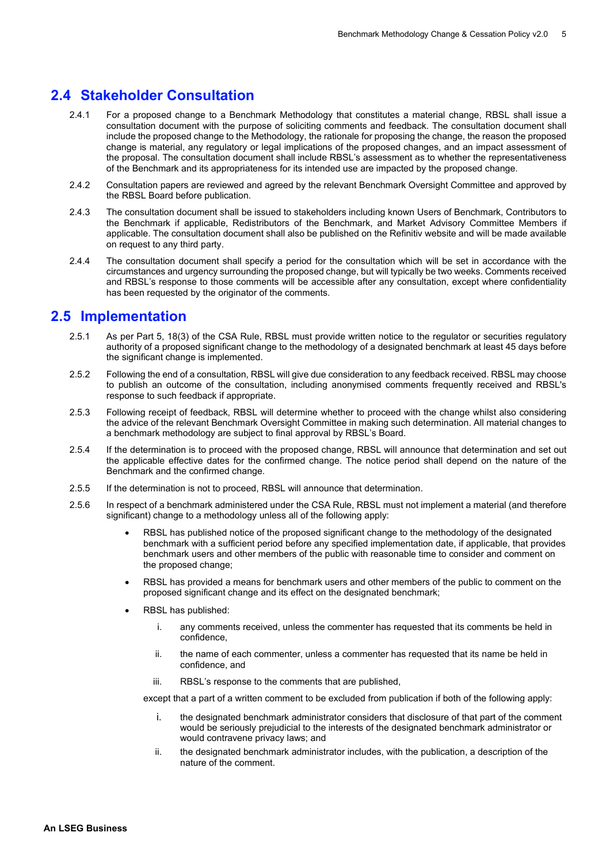### **2.4 Stakeholder Consultation**

- 2.4.1 For a proposed change to a Benchmark Methodology that constitutes a material change, RBSL shall issue a consultation document with the purpose of soliciting comments and feedback. The consultation document shall include the proposed change to the Methodology, the rationale for proposing the change, the reason the proposed change is material, any regulatory or legal implications of the proposed changes, and an impact assessment of the proposal. The consultation document shall include RBSL's assessment as to whether the representativeness of the Benchmark and its appropriateness for its intended use are impacted by the proposed change.
- 2.4.2 Consultation papers are reviewed and agreed by the relevant Benchmark Oversight Committee and approved by the RBSL Board before publication.
- 2.4.3 The consultation document shall be issued to stakeholders including known Users of Benchmark, Contributors to the Benchmark if applicable, Redistributors of the Benchmark, and Market Advisory Committee Members if applicable. The consultation document shall also be published on the Refinitiv website and will be made available on request to any third party.
- 2.4.4 The consultation document shall specify a period for the consultation which will be set in accordance with the circumstances and urgency surrounding the proposed change, but will typically be two weeks. Comments received and RBSL's response to those comments will be accessible after any consultation, except where confidentiality has been requested by the originator of the comments.

### <span id="page-4-0"></span>**2.5 Implementation**

- 2.5.1 As per Part 5, 18(3) of the CSA Rule, RBSL must provide written notice to the regulator or securities regulatory authority of a proposed significant change to the methodology of a designated benchmark at least 45 days before the significant change is implemented.
- 2.5.2 Following the end of a consultation, RBSL will give due consideration to any feedback received. RBSL may choose to publish an outcome of the consultation, including anonymised comments frequently received and RBSL's response to such feedback if appropriate.
- 2.5.3 Following receipt of feedback, RBSL will determine whether to proceed with the change whilst also considering the advice of the relevant Benchmark Oversight Committee in making such determination. All material changes to a benchmark methodology are subject to final approval by RBSL's Board.
- 2.5.4 If the determination is to proceed with the proposed change, RBSL will announce that determination and set out the applicable effective dates for the confirmed change. The notice period shall depend on the nature of the Benchmark and the confirmed change.
- 2.5.5 If the determination is not to proceed, RBSL will announce that determination.
- 2.5.6 In respect of a benchmark administered under the CSA Rule, RBSL must not implement a material (and therefore significant) change to a methodology unless all of the following apply:
	- RBSL has published notice of the proposed significant change to the methodology of the designated benchmark with a sufficient period before any specified implementation date, if applicable, that provides benchmark users and other members of the public with reasonable time to consider and comment on the proposed change;
	- RBSL has provided a means for benchmark users and other members of the public to comment on the proposed significant change and its effect on the designated benchmark;
	- RBSL has published:
		- i. any comments received, unless the commenter has requested that its comments be held in confidence,
		- ii. the name of each commenter, unless a commenter has requested that its name be held in confidence, and
		- iii. RBSL's response to the comments that are published,

except that a part of a written comment to be excluded from publication if both of the following apply:

- i. the designated benchmark administrator considers that disclosure of that part of the comment would be seriously prejudicial to the interests of the designated benchmark administrator or would contravene privacy laws; and
- ii. the designated benchmark administrator includes, with the publication, a description of the nature of the comment.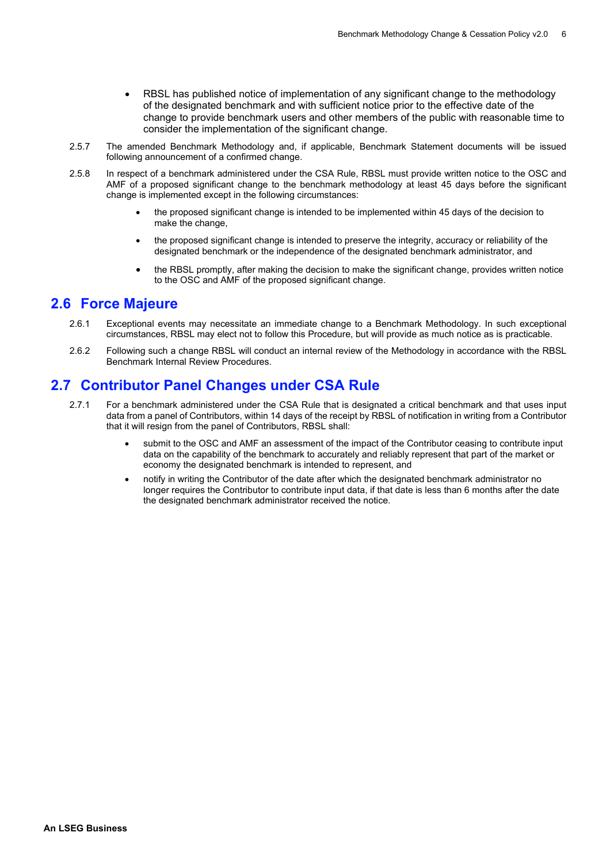- RBSL has published notice of implementation of any significant change to the methodology of the designated benchmark and with sufficient notice prior to the effective date of the change to provide benchmark users and other members of the public with reasonable time to consider the implementation of the significant change.
- 2.5.7 The amended Benchmark Methodology and, if applicable, Benchmark Statement documents will be issued following announcement of a confirmed change.
- 2.5.8 In respect of a benchmark administered under the CSA Rule, RBSL must provide written notice to the OSC and AMF of a proposed significant change to the benchmark methodology at least 45 days before the significant change is implemented except in the following circumstances:
	- the proposed significant change is intended to be implemented within 45 days of the decision to make the change,
	- the proposed significant change is intended to preserve the integrity, accuracy or reliability of the designated benchmark or the independence of the designated benchmark administrator, and
	- the RBSL promptly, after making the decision to make the significant change, provides written notice to the OSC and AMF of the proposed significant change.

### <span id="page-5-0"></span>**2.6 Force Majeure**

- 2.6.1 Exceptional events may necessitate an immediate change to a Benchmark Methodology. In such exceptional circumstances, RBSL may elect not to follow this Procedure, but will provide as much notice as is practicable.
- 2.6.2 Following such a change RBSL will conduct an internal review of the Methodology in accordance with the RBSL Benchmark Internal Review Procedures.

### <span id="page-5-1"></span>**2.7 Contributor Panel Changes under CSA Rule**

- 2.7.1 For a benchmark administered under the CSA Rule that is designated a critical benchmark and that uses input data from a panel of Contributors, within 14 days of the receipt by RBSL of notification in writing from a Contributor that it will resign from the panel of Contributors, RBSL shall:
	- submit to the OSC and AMF an assessment of the impact of the Contributor ceasing to contribute input data on the capability of the benchmark to accurately and reliably represent that part of the market or economy the designated benchmark is intended to represent, and
	- notify in writing the Contributor of the date after which the designated benchmark administrator no longer requires the Contributor to contribute input data, if that date is less than 6 months after the date the designated benchmark administrator received the notice.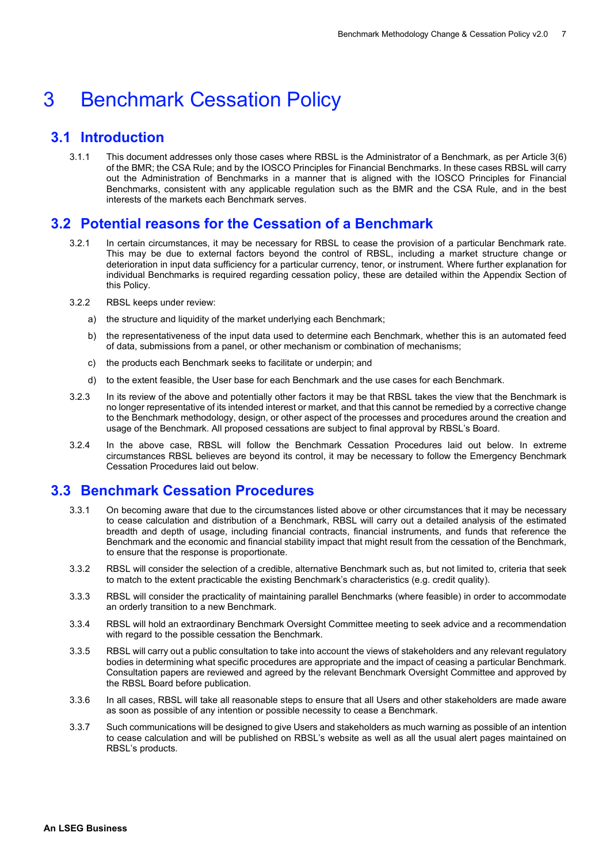### <span id="page-6-0"></span>3 Benchmark Cessation Policy

### <span id="page-6-1"></span>**3.1 Introduction**

3.1.1 This document addresses only those cases where RBSL is the Administrator of a Benchmark, as per Article 3(6) of the BMR; the CSA Rule; and by the IOSCO Principles for Financial Benchmarks. In these cases RBSL will carry out the Administration of Benchmarks in a manner that is aligned with the IOSCO Principles for Financial Benchmarks, consistent with any applicable regulation such as the BMR and the CSA Rule, and in the best interests of the markets each Benchmark serves.

### <span id="page-6-2"></span>**3.2 Potential reasons for the Cessation of a Benchmark**

- 3.2.1 In certain circumstances, it may be necessary for RBSL to cease the provision of a particular Benchmark rate. This may be due to external factors beyond the control of RBSL, including a market structure change or deterioration in input data sufficiency for a particular currency, tenor, or instrument. Where further explanation for individual Benchmarks is required regarding cessation policy, these are detailed within the Appendix Section of this Policy.
- 3.2.2 RBSL keeps under review:
	- a) the structure and liquidity of the market underlying each Benchmark;
	- b) the representativeness of the input data used to determine each Benchmark, whether this is an automated feed of data, submissions from a panel, or other mechanism or combination of mechanisms;
	- c) the products each Benchmark seeks to facilitate or underpin; and
	- d) to the extent feasible, the User base for each Benchmark and the use cases for each Benchmark.
- 3.2.3 In its review of the above and potentially other factors it may be that RBSL takes the view that the Benchmark is no longer representative of its intended interest or market, and that this cannot be remedied by a corrective change to the Benchmark methodology, design, or other aspect of the processes and procedures around the creation and usage of the Benchmark. All proposed cessations are subject to final approval by RBSL's Board.
- 3.2.4 In the above case, RBSL will follow the Benchmark Cessation Procedures laid out below. In extreme circumstances RBSL believes are beyond its control, it may be necessary to follow the Emergency Benchmark Cessation Procedures laid out below.

### <span id="page-6-3"></span>**3.3 Benchmark Cessation Procedures**

- 3.3.1 On becoming aware that due to the circumstances listed above or other circumstances that it may be necessary to cease calculation and distribution of a Benchmark, RBSL will carry out a detailed analysis of the estimated breadth and depth of usage, including financial contracts, financial instruments, and funds that reference the Benchmark and the economic and financial stability impact that might result from the cessation of the Benchmark, to ensure that the response is proportionate.
- 3.3.2 RBSL will consider the selection of a credible, alternative Benchmark such as, but not limited to, criteria that seek to match to the extent practicable the existing Benchmark's characteristics (e.g. credit quality).
- 3.3.3 RBSL will consider the practicality of maintaining parallel Benchmarks (where feasible) in order to accommodate an orderly transition to a new Benchmark.
- 3.3.4 RBSL will hold an extraordinary Benchmark Oversight Committee meeting to seek advice and a recommendation with regard to the possible cessation the Benchmark.
- 3.3.5 RBSL will carry out a public consultation to take into account the views of stakeholders and any relevant regulatory bodies in determining what specific procedures are appropriate and the impact of ceasing a particular Benchmark. Consultation papers are reviewed and agreed by the relevant Benchmark Oversight Committee and approved by the RBSL Board before publication.
- 3.3.6 In all cases, RBSL will take all reasonable steps to ensure that all Users and other stakeholders are made aware as soon as possible of any intention or possible necessity to cease a Benchmark.
- 3.3.7 Such communications will be designed to give Users and stakeholders as much warning as possible of an intention to cease calculation and will be published on RBSL's website as well as all the usual alert pages maintained on RBSL's products.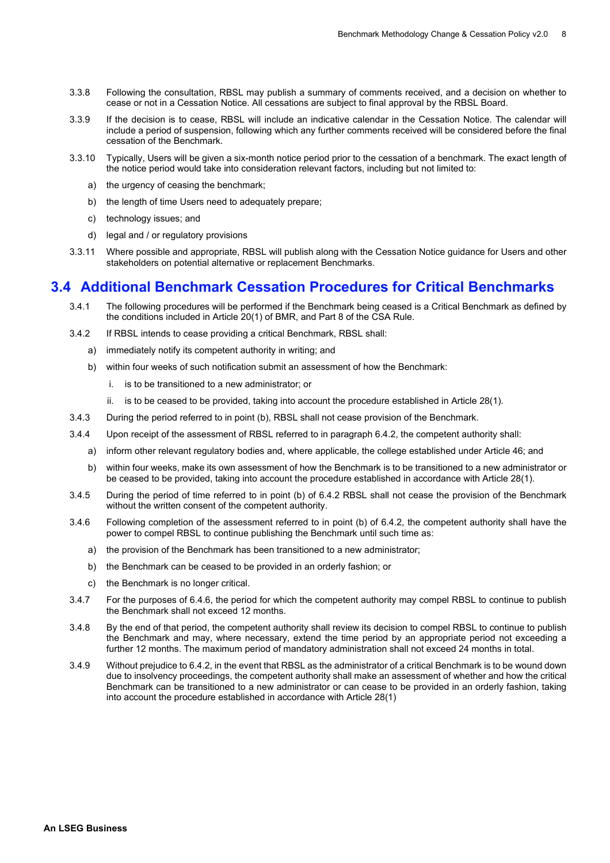- 3.3.8 Following the consultation, RBSL may publish a summary of comments received, and a decision on whether to cease or not in a Cessation Notice. All cessations are subject to final approval by the RBSL Board.
- 3.3.9 If the decision is to cease, RBSL will include an indicative calendar in the Cessation Notice. The calendar will include a period of suspension, following which any further comments received will be considered before the final cessation of the Benchmark.
- 3.3.10 Typically, Users will be given a six-month notice period prior to the cessation of a benchmark. The exact length of the notice period would take into consideration relevant factors, including but not limited to:
	- a) the urgency of ceasing the benchmark;
	- b) the length of time Users need to adequately prepare;
	- c) technology issues; and
	- d) legal and / or regulatory provisions
- 3.3.11 Where possible and appropriate, RBSL will publish along with the Cessation Notice guidance for Users and other stakeholders on potential alternative or replacement Benchmarks.

### <span id="page-7-0"></span>**3.4 Additional Benchmark Cessation Procedures for Critical Benchmarks**

- 3.4.1 The following procedures will be performed if the Benchmark being ceased is a Critical Benchmark as defined by the conditions included in Article 20(1) of BMR, and Part 8 of the CSA Rule.
- 3.4.2 If RBSL intends to cease providing a critical Benchmark, RBSL shall:
	- a) immediately notify its competent authority in writing; and
	- b) within four weeks of such notification submit an assessment of how the Benchmark:
		- i. is to be transitioned to a new administrator; or
		- ii. is to be ceased to be provided, taking into account the procedure established in Article 28(1).
- 3.4.3 During the period referred to in point (b), RBSL shall not cease provision of the Benchmark.
- 3.4.4 Upon receipt of the assessment of RBSL referred to in paragraph 6.4.2, the competent authority shall:
	- a) inform other relevant regulatory bodies and, where applicable, the college established under Article 46; and
	- b) within four weeks, make its own assessment of how the Benchmark is to be transitioned to a new administrator or be ceased to be provided, taking into account the procedure established in accordance with Article 28(1).
- 3.4.5 During the period of time referred to in point (b) of 6.4.2 RBSL shall not cease the provision of the Benchmark without the written consent of the competent authority.
- 3.4.6 Following completion of the assessment referred to in point (b) of 6.4.2, the competent authority shall have the power to compel RBSL to continue publishing the Benchmark until such time as:
	- a) the provision of the Benchmark has been transitioned to a new administrator;
	- b) the Benchmark can be ceased to be provided in an orderly fashion; or
	- c) the Benchmark is no longer critical.
- 3.4.7 For the purposes of 6.4.6, the period for which the competent authority may compel RBSL to continue to publish the Benchmark shall not exceed 12 months.
- 3.4.8 By the end of that period, the competent authority shall review its decision to compel RBSL to continue to publish the Benchmark and may, where necessary, extend the time period by an appropriate period not exceeding a further 12 months. The maximum period of mandatory administration shall not exceed 24 months in total.
- 3.4.9 Without prejudice to 6.4.2, in the event that RBSL as the administrator of a critical Benchmark is to be wound down due to insolvency proceedings, the competent authority shall make an assessment of whether and how the critical Benchmark can be transitioned to a new administrator or can cease to be provided in an orderly fashion, taking into account the procedure established in accordance with Article 28(1)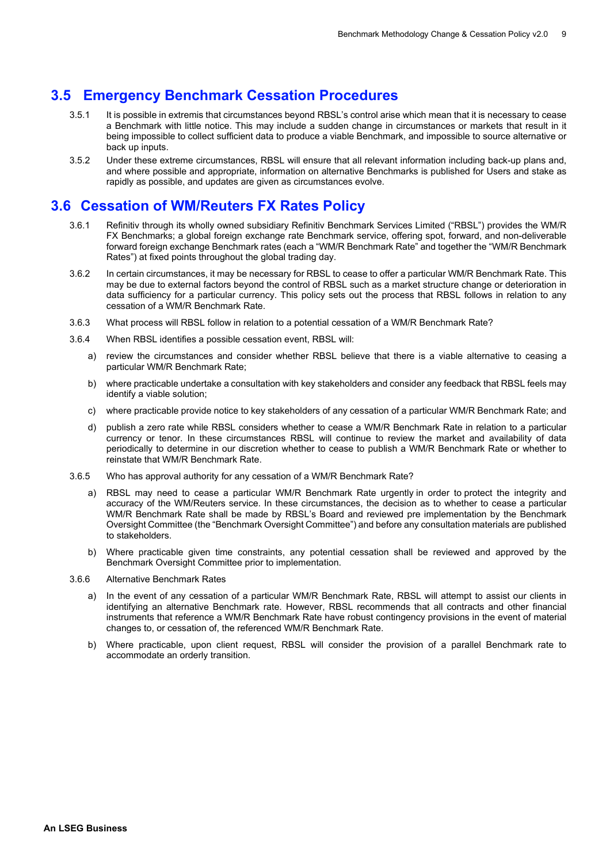#### **3.5 Emergency Benchmark Cessation Procedures**

- <span id="page-8-0"></span>3.5.1 It is possible in extremis that circumstances beyond RBSL's control arise which mean that it is necessary to cease a Benchmark with little notice. This may include a sudden change in circumstances or markets that result in it being impossible to collect sufficient data to produce a viable Benchmark, and impossible to source alternative or back up inputs.
- 3.5.2 Under these extreme circumstances, RBSL will ensure that all relevant information including back-up plans and, and where possible and appropriate, information on alternative Benchmarks is published for Users and stake as rapidly as possible, and updates are given as circumstances evolve.

### <span id="page-8-1"></span>**3.6 Cessation of WM/Reuters FX Rates Policy**

- 3.6.1 Refinitiv through its wholly owned subsidiary Refinitiv Benchmark Services Limited ("RBSL") provides the WM/R FX Benchmarks; a global foreign exchange rate Benchmark service, offering spot, forward, and non-deliverable forward foreign exchange Benchmark rates (each a "WM/R Benchmark Rate" and together the "WM/R Benchmark Rates") at fixed points throughout the global trading day.
- 3.6.2 In certain circumstances, it may be necessary for RBSL to cease to offer a particular WM/R Benchmark Rate. This may be due to external factors beyond the control of RBSL such as a market structure change or deterioration in data sufficiency for a particular currency. This policy sets out the process that RBSL follows in relation to any cessation of a WM/R Benchmark Rate.
- 3.6.3 What process will RBSL follow in relation to a potential cessation of a WM/R Benchmark Rate?
- 3.6.4 When RBSL identifies a possible cessation event, RBSL will:
	- a) review the circumstances and consider whether RBSL believe that there is a viable alternative to ceasing a particular WM/R Benchmark Rate;
	- b) where practicable undertake a consultation with key stakeholders and consider any feedback that RBSL feels may identify a viable solution;
	- c) where practicable provide notice to key stakeholders of any cessation of a particular WM/R Benchmark Rate; and
	- d) publish a zero rate while RBSL considers whether to cease a WM/R Benchmark Rate in relation to a particular currency or tenor. In these circumstances RBSL will continue to review the market and availability of data periodically to determine in our discretion whether to cease to publish a WM/R Benchmark Rate or whether to reinstate that WM/R Benchmark Rate.
- 3.6.5 Who has approval authority for any cessation of a WM/R Benchmark Rate?
	- a) RBSL may need to cease a particular WM/R Benchmark Rate urgently in order to protect the integrity and accuracy of the WM/Reuters service. In these circumstances, the decision as to whether to cease a particular WM/R Benchmark Rate shall be made by RBSL's Board and reviewed pre implementation by the Benchmark Oversight Committee (the "Benchmark Oversight Committee") and before any consultation materials are published to stakeholders.
	- b) Where practicable given time constraints, any potential cessation shall be reviewed and approved by the Benchmark Oversight Committee prior to implementation.
- 3.6.6 Alternative Benchmark Rates
	- a) In the event of any cessation of a particular WM/R Benchmark Rate, RBSL will attempt to assist our clients in identifying an alternative Benchmark rate. However, RBSL recommends that all contracts and other financial instruments that reference a WM/R Benchmark Rate have robust contingency provisions in the event of material changes to, or cessation of, the referenced WM/R Benchmark Rate.
	- b) Where practicable, upon client request, RBSL will consider the provision of a parallel Benchmark rate to accommodate an orderly transition.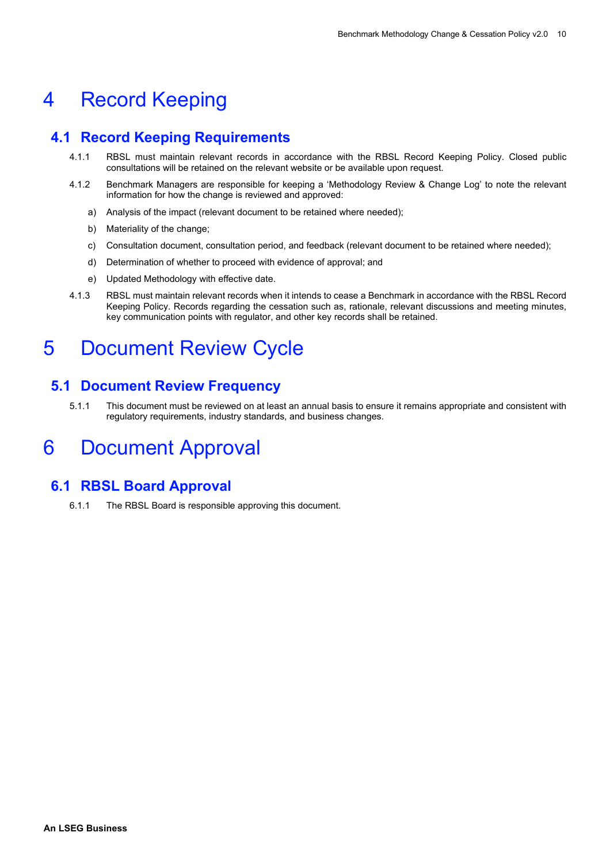### <span id="page-9-0"></span>4 Record Keeping

### <span id="page-9-1"></span>**4.1 Record Keeping Requirements**

- 4.1.1 RBSL must maintain relevant records in accordance with the RBSL Record Keeping Policy. Closed public consultations will be retained on the relevant website or be available upon request.
- 4.1.2 Benchmark Managers are responsible for keeping a 'Methodology Review & Change Log' to note the relevant information for how the change is reviewed and approved:
	- a) Analysis of the impact (relevant document to be retained where needed);
	- b) Materiality of the change;
	- c) Consultation document, consultation period, and feedback (relevant document to be retained where needed);
	- d) Determination of whether to proceed with evidence of approval; and
	- e) Updated Methodology with effective date.
- 4.1.3 RBSL must maintain relevant records when it intends to cease a Benchmark in accordance with the RBSL Record Keeping Policy. Records regarding the cessation such as, rationale, relevant discussions and meeting minutes, key communication points with regulator, and other key records shall be retained.

### <span id="page-9-2"></span>5 Document Review Cycle

### <span id="page-9-3"></span>**5.1 Document Review Frequency**

5.1.1 This document must be reviewed on at least an annual basis to ensure it remains appropriate and consistent with regulatory requirements, industry standards, and business changes.

### <span id="page-9-4"></span>6 Document Approval

### <span id="page-9-5"></span>**6.1 RBSL Board Approval**

6.1.1 The RBSL Board is responsible approving this document.